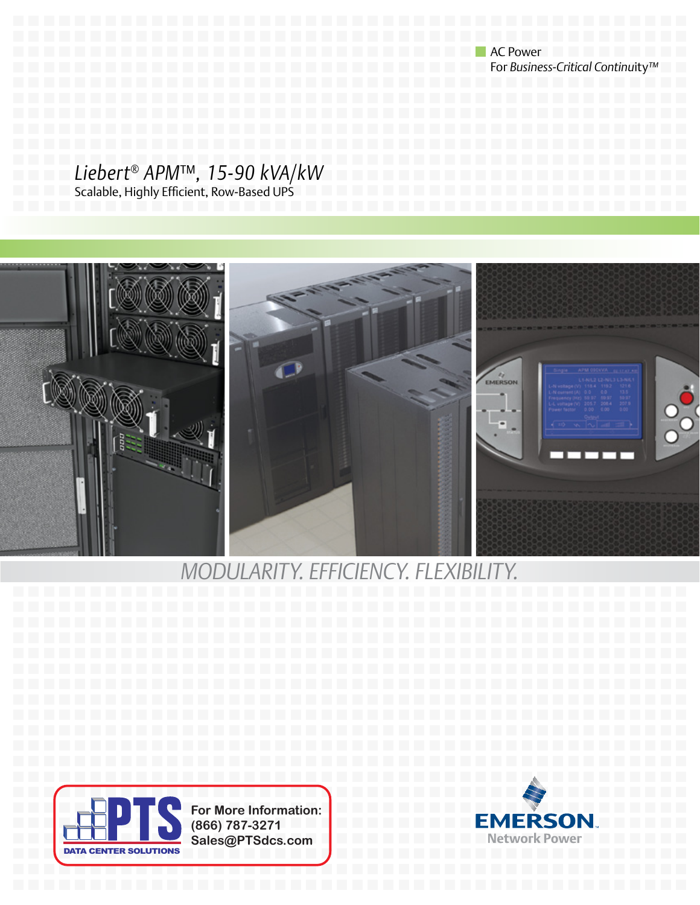AC Power For *Business-Critical Continu*ity*™*

### *Liebert® APM*™*, 15-90 kVA/kW*

Scalable, Highly Efficient, Row-Based UPS



### *Modularity. Efficiency. Flexibility.*



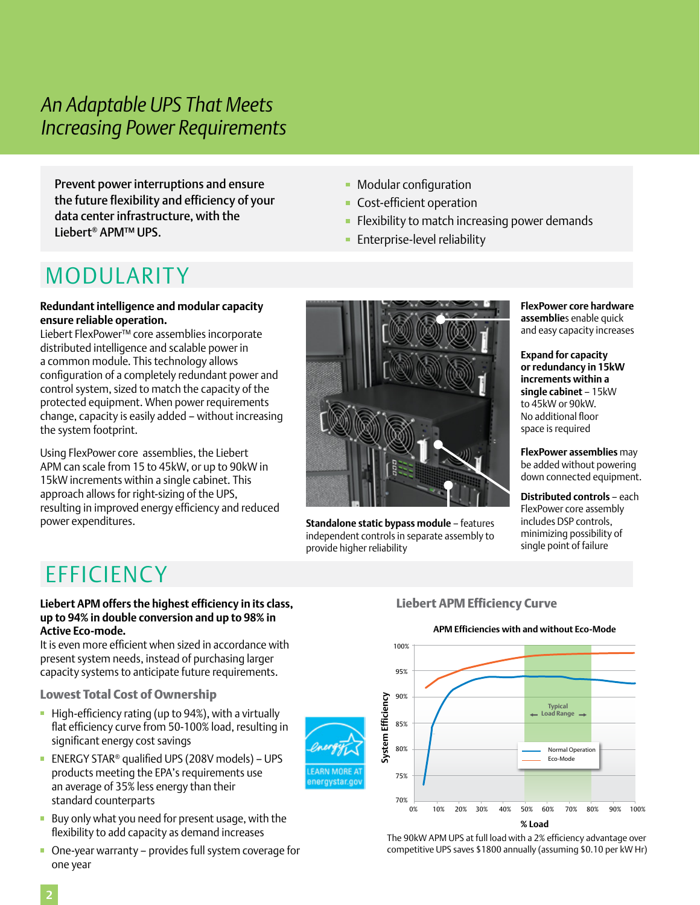### *An Adaptable UPS That Meets Increasing Power Requirements*

Prevent power interruptions and ensure the future flexibility and efficiency of your data center infrastructure, with the Liebert® APM™ UPS.

### **• Modular configuration**

- **Cost-efficient operation**
- $\blacksquare$  Flexibility to match increasing power demands
- **Enterprise-level reliability**

## MODULARITY

### **Redundant intelligence and modular capacity ensure reliable operation.**

Liebert FlexPower™ core assemblies incorporate distributed intelligence and scalable power in a common module. This technology allows configuration of a completely redundant power and control system, sized to match the capacity of the protected equipment. When power requirements change, capacity is easily added – without increasing the system footprint.

Using FlexPower core assemblies, the Liebert APM can scale from 15 to 45kW, or up to 90kW in 15kW increments within a single cabinet. This approach allows for right-sizing of the UPS, resulting in improved energy efficiency and reduced power expenditures.



**Standalone static bypass module** – features independent controls in separate assembly to provide higher reliability

**FARN MORE** nergystar.go **FlexPower core hardware assemblie**s enable quick and easy capacity increases

**Expand for capacity or redundancy in 15kW increments within a single cabinet** – 15kW to 45kW or 90kW. No additional floor space is required

**FlexPower assemblies** may be added without powering down connected equipment.

**Distributed controls** – each FlexPower core assembly includes DSP controls, minimizing possibility of single point of failure

# **FFFICIENCY**

#### **Liebert APM offers the highest efficiency in its class, up to 94% in double conversion and up to 98% in Active Eco-mode.**

It is even more efficient when sized in accordance with present system needs, instead of purchasing larger capacity systems to anticipate future requirements.

Lowest Total Cost of Ownership

- $\blacksquare$  High-efficiency rating (up to 94%), with a virtually flat efficiency curve from 50-100% load, resulting in significant energy cost savings
- ENERGY STAR<sup>®</sup> qualified UPS (208V models) UPS products meeting the EPA's requirements use an average of 35% less energy than their standard counterparts
- Buy only what you need for present usage, with the flexibility to add capacity as demand increases
- One-year warranty provides full system coverage for one year

### Liebert APM Efficiency Curve



**APM Efficiencies with and without Eco-Mode**

The 90kW APM UPS at full load with a 2% efficiency advantage over competitive UPS saves \$1800 annually (assuming \$0.10 per kW Hr)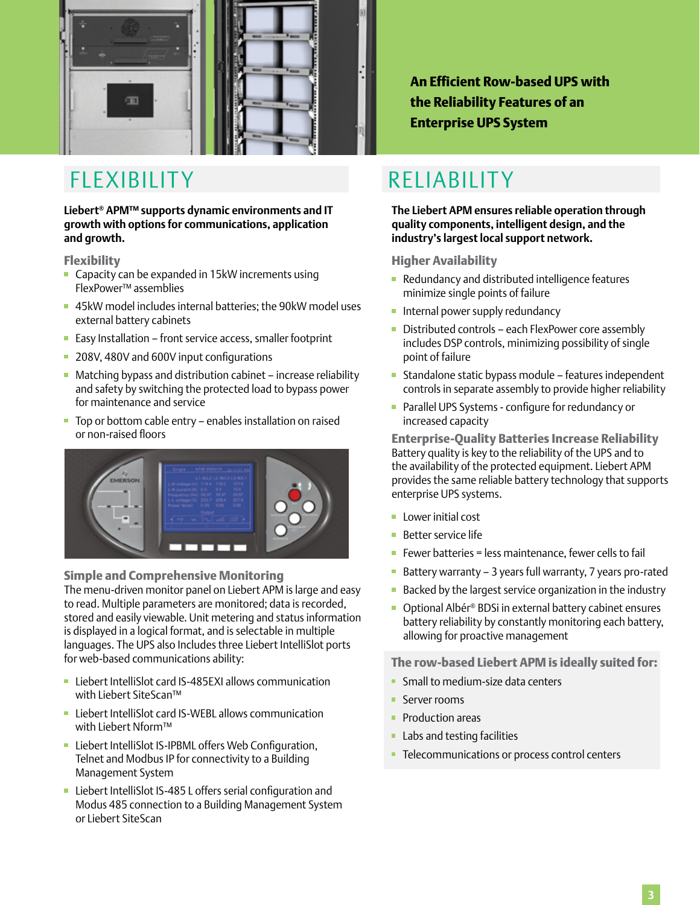

## FLEXIBILITY RELIABILITY

**Liebert® APM™ supports dynamic environments and IT growth with options for communications, application and growth.**

### Flexibility

- Capacity can be expanded in 15kW increments using FlexPower™ assemblies
- 45kW model includes internal batteries; the 90kW model uses external battery cabinets
- **Easy Installation front service access, smaller footprint**
- 208V, 480V and 600V input configurations
- Matching bypass and distribution cabinet increase reliability and safety by switching the protected load to bypass power for maintenance and service
- Top or bottom cable entry enables installation on raised or non-raised floors



#### Simple and Comprehensive Monitoring

The menu-driven monitor panel on Liebert APM is large and easy to read. Multiple parameters are monitored; data is recorded, stored and easily viewable. Unit metering and status information is displayed in a logical format, and is selectable in multiple languages. The UPS also Includes three Liebert IntelliSlot ports for web-based communications ability:

- Liebert IntelliSlot card IS-485EXI allows communication with Liebert SiteScan™
- **Liebert IntelliSlot card IS-WEBL allows communication** with Liebert Nform™
- **Liebert IntelliSlot IS-IPBML offers Web Configuration,** Telnet and Modbus IP for connectivity to a Building Management System
- **Liebert IntelliSlot IS-485 L offers serial configuration and** Modus 485 connection to a Building Management System or Liebert SiteScan

An Efficient Row-based UPS with the Reliability Features of an Enterprise UPS System

**The Liebert APM ensures reliable operation through quality components, intelligent design, and the industry's largest local support network.**

#### Higher Availability

- Redundancy and distributed intelligence features minimize single points of failure
- **Internal power supply redundancy**
- Distributed controls each FlexPower core assembly includes DSP controls, minimizing possibility of single point of failure
- Standalone static bypass module features independent controls in separate assembly to provide higher reliability
- **Parallel UPS Systems configure for redundancy or** increased capacity

Enterprise-Quality Batteries Increase Reliability Battery quality is key to the reliability of the UPS and to the availability of the protected equipment. Liebert APM provides the same reliable battery technology that supports enterprise UPS systems.

- **Lower initial cost**
- Better service life
- Fewer batteries = less maintenance, fewer cells to fail
- Battery warranty 3 years full warranty, 7 years pro-rated
- **Backed by the largest service organization in the industry**
- Optional Albér® BDSi in external battery cabinet ensures battery reliability by constantly monitoring each battery, allowing for proactive management

The row-based Liebert APM is ideally suited for:

- **Small to medium-size data centers**
- **Server rooms**
- **Production areas**
- **Labs and testing facilities**
- **Telecommunications or process control centers**